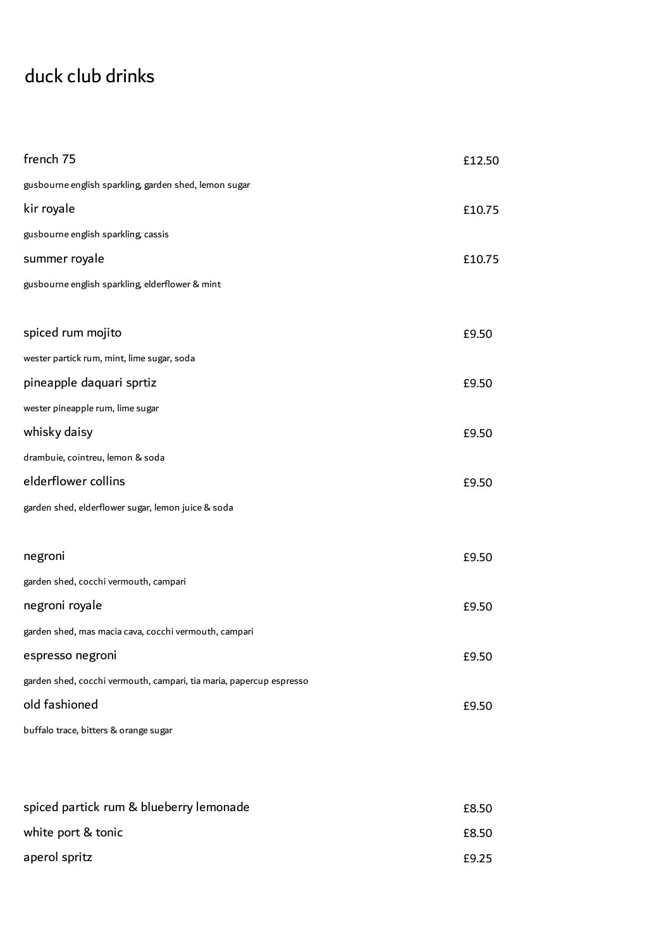## duck club drinks

| french 75                                                           | £12.50 |
|---------------------------------------------------------------------|--------|
| gusbourne english sparkling, garden shed, lemon sugar               |        |
| kir royale                                                          | £10.75 |
| gusbourne english sparkling, cassis                                 |        |
| summer royale                                                       | £10.75 |
| gusbourne english sparkling, elderflower & mint                     |        |
|                                                                     |        |
| spiced rum mojito                                                   | £9.50  |
| wester partick rum, mint, lime sugar, soda                          |        |
| pineapple daquari sprtiz                                            | £9.50  |
| wester pineapple rum, lime sugar                                    |        |
| whisky daisy                                                        | £9.50  |
| drambuie, cointreu, lemon & soda                                    |        |
| elderflower collins                                                 | £9.50  |
| garden shed, elderflower sugar, lemon juice & soda                  |        |
|                                                                     |        |
| negroni                                                             | £9.50  |
| garden shed, cocchi vermouth, campari                               |        |
| negroni royale                                                      | £9.50  |
| garden shed, mas macia cava, cocchi vermouth, campari               |        |
| espresso negroni                                                    | £9.50  |
| garden shed, cocchi vermouth, campari, tia maria, papercup espresso |        |
| old fashioned                                                       | £9.50  |
| buffalo trace, bitters & orange sugar                               |        |
|                                                                     |        |
|                                                                     |        |
| spiced partick rum & blueberry lemonade                             | £8.50  |
| white port & tonic                                                  | £8.50  |
| aperol spritz                                                       | £9.25  |